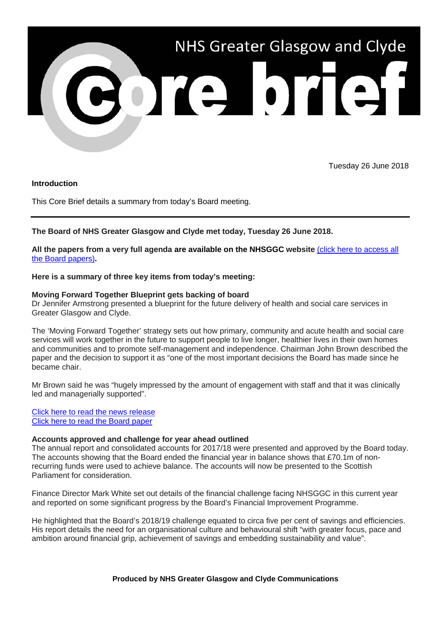

Tuesday 26 June 2018

### **Introduction**

This Core Brief details a summary from today's Board meeting.

# **The Board of NHS Greater Glasgow and Clyde met today, Tuesday 26 June 2018.**

**All the papers from a very full agenda are available on the NHSGGC website** [\(click here to access all](http://www.nhsggc.org.uk/about-us/nhs-board/board-meetings-papers-reports/papers/2018/)  [the Board papers\)](http://www.nhsggc.org.uk/about-us/nhs-board/board-meetings-papers-reports/papers/2018/)**.**

### **Here is a summary of three key items from today's meeting:**

### **Moving Forward Together Blueprint gets backing of board**

Dr Jennifer Armstrong presented a blueprint for the future delivery of health and social care services in Greater Glasgow and Clyde.

The 'Moving Forward Together' strategy sets out how primary, community and acute health and social care services will work together in the future to support people to live longer, healthier lives in their own homes and communities and to promote self-management and independence. Chairman John Brown described the paper and the decision to support it as "one of the most important decisions the Board has made since he became chair.

Mr Brown said he was "hugely impressed by the amount of engagement with staff and that it was clinically led and managerially supported".

[Click here to read the news release](http://www.nhsggc.org.uk/about-us/media-centre/news/2018/06/blueprint-for-future-of-health-and-social-care-services-approved/) [Click here to read the Board paper](http://www.nhsggc.org.uk/media/248849/item-9-18-24.pdf)

### **Accounts approved and challenge for year ahead outlined**

The annual report and consolidated accounts for 2017/18 were presented and approved by the Board today. The accounts showing that the Board ended the financial year in balance shows that £70.1m of nonrecurring funds were used to achieve balance. The accounts will now be presented to the Scottish Parliament for consideration.

Finance Director Mark White set out details of the financial challenge facing NHSGGC in this current year and reported on some significant progress by the Board's Financial Improvement Programme.

He highlighted that the Board's 2018/19 challenge equated to circa five per cent of savings and efficiencies. His report details the need for an organisational culture and behavioural shift "with greater focus, pace and ambition around financial grip, achievement of savings and embedding sustainability and value".